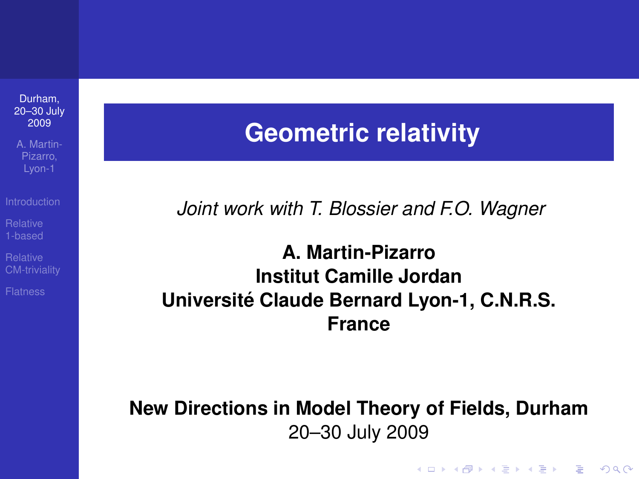A. Martin-Lyon-1

[CM-triviality](#page-18-0)

## **Geometric relativity**

*Joint work with T. Blossier and F.O. Wagner*

**A. Martin-Pizarro Institut Camille Jordan Universite Claude Bernard Lyon-1, C.N.R.S. ´ France**

<span id="page-0-0"></span>**New Directions in Model Theory of Fields, Durham** 20–30 July 2009

**KOD KARD KED KED BE YOUR**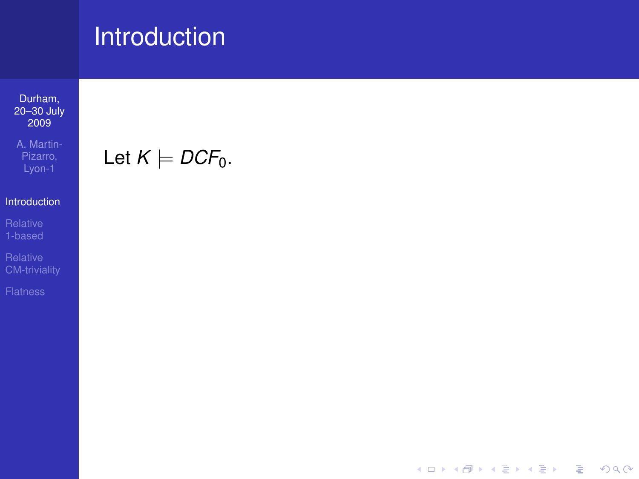Durham, [20–30 July](#page-0-0) 2009

A. Martin-Pizarro,

#### [Introduction](#page-1-0)

<span id="page-1-0"></span>

Let  $K \models DCF_0$ .

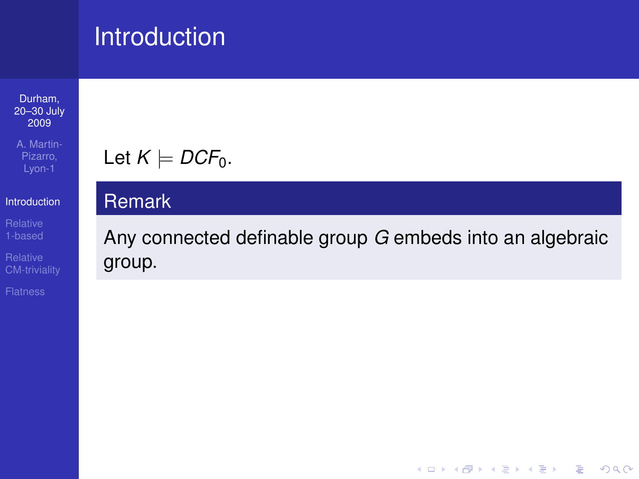Durham, [20–30 July](#page-0-0) 2009

A. Martin-Pizarro,

### [Introduction](#page-1-0)

[CM-triviality](#page-18-0)

## Let  $K \models DCF_0$ .

### Remark

Any connected definable group *G* embeds into an algebraic group.

**KORKARYKERKE PORCH**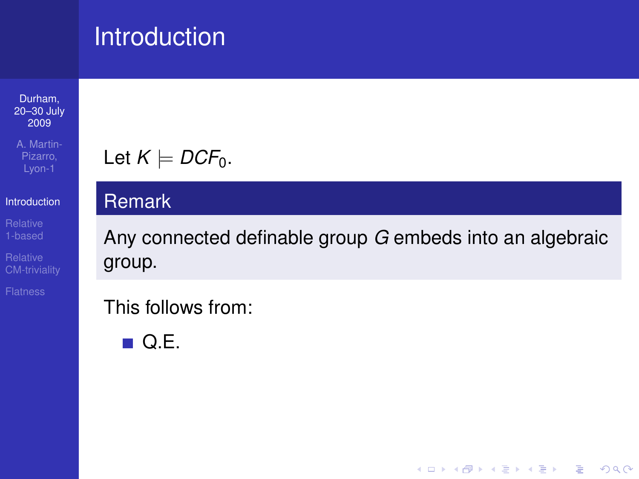Durham, [20–30 July](#page-0-0) 2009

A. Martin-Pizarro,

### [Introduction](#page-1-0)

[CM-triviality](#page-18-0)

## Let  $K \models DCF_0$ .

### Remark

Any connected definable group *G* embeds into an algebraic group.

This follows from:

 $\blacksquare$  Q.E.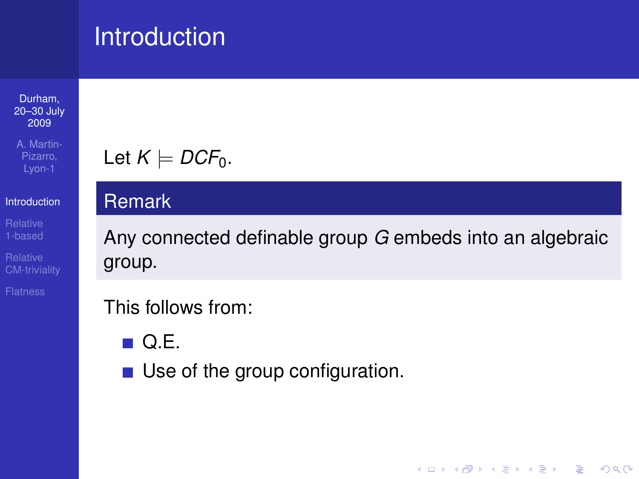Durham, [20–30 July](#page-0-0) 2009

A. Martin-Pizarro, Lyon-1

### [Introduction](#page-1-0)

[CM-triviality](#page-18-0)

## Let  $K \models DCF_0$ .

### Remark

Any connected definable group *G* embeds into an algebraic group.

**KORKARYKERKE PORCH** 

## This follows from:

 $\blacksquare$  Q.E.

■ Use of the group configuration.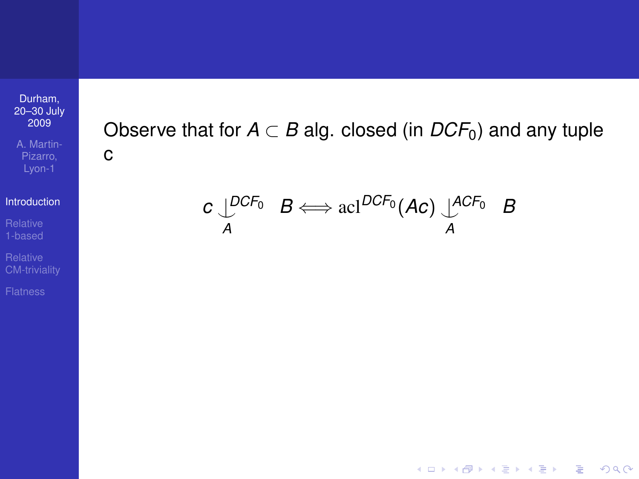A. Martin-Pizarro,

[Introduction](#page-1-0)

[CM-triviality](#page-18-0)

Observe that for  $A \subset B$  alg. closed (in  $DCF_0$ ) and any tuple c

 $c \bigcup_{A}^{DCF_0} B \Longleftrightarrow \text{acl}^{DCF_0} (AC) \bigcup_{A}^{ACF_0} B$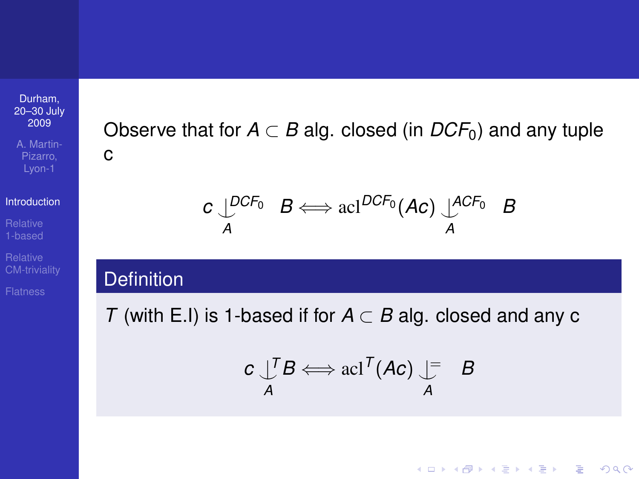A. Martin-Pizarro,

[Introduction](#page-1-0)

[CM-triviality](#page-18-0)

Observe that for  $A \subset B$  alg. closed (in  $DCF_0$ ) and any tuple c

$$
c \downarrow^{DCF_0} B \Longleftrightarrow \text{acl}^{DCF_0}(Ac) \downarrow^{ACF_0} B
$$

### **Definition**

*T* (with E.I) is 1-based if for *A* ⊂ *B* alg. closed and any c

$$
c \bigcup_{A}^{T} B \Longleftrightarrow \operatorname{acl}^{T} (Ac) \bigcup_{A}^{T} B
$$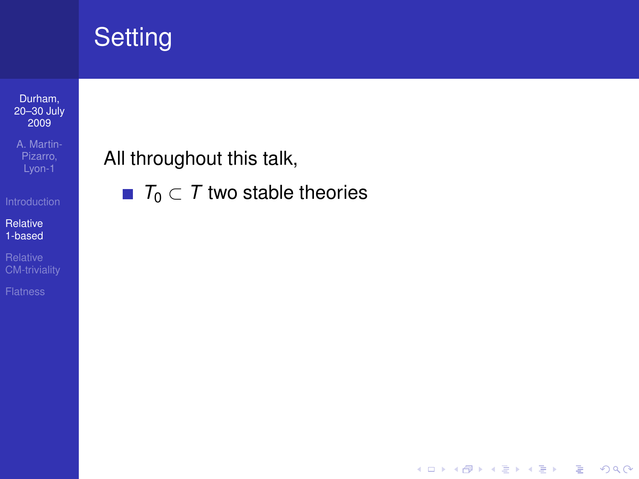#### Durham, [20–30 July](#page-0-0) 2009

A. Martin-Pizarro,

Relative [1-based](#page-7-0)

<span id="page-7-0"></span>

All throughout this talk,

 $\blacksquare$  *T*<sub>0</sub>  $\subset$  *T* two stable theories

K ロ ▶ K 御 ▶ K 聖 ▶ K 聖 ▶ │ 聖 │ 約 9 (9)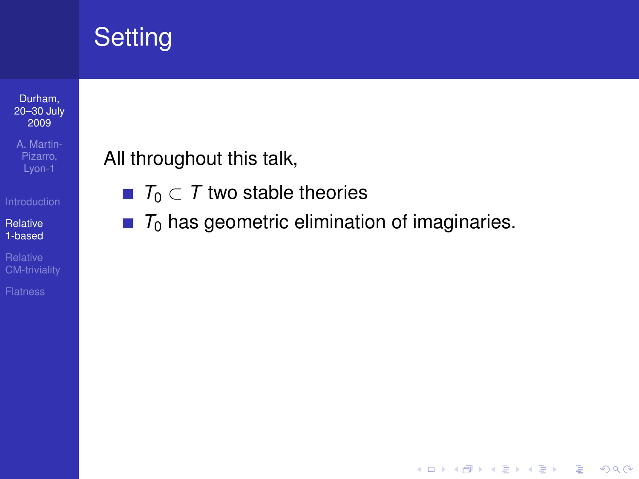#### Durham, [20–30 July](#page-0-0) 2009

A. Martin-Pizarro,

Relative [1-based](#page-7-0)

[CM-triviality](#page-18-0)

All throughout this talk,

- **■**  $T_0 \subset T$  two stable theories
- $T_0$  has geometric elimination of imaginaries.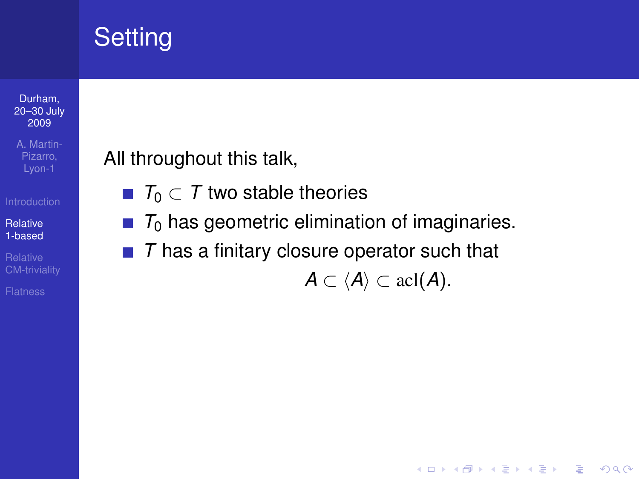#### Durham, [20–30 July](#page-0-0) 2009

A. Martin-Pizarro, Lyon-1

Relative [1-based](#page-7-0)

[CM-triviality](#page-18-0)

All throughout this talk,

- **■**  $T_0 \subset T$  two stable theories
- $T_0$  has geometric elimination of imaginaries.  $\sim$
- *T* has a finitary closure operator such that

 $A \subset \langle A \rangle \subset \operatorname{acl}(A)$ .

**KOD KOD KED KED E VAN**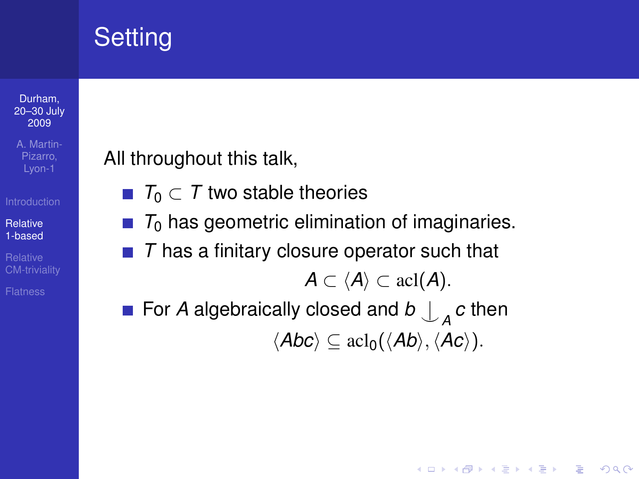#### Durham, [20–30 July](#page-0-0) 2009

A. Martin-Pizarro, Lyon-1

Relative [1-based](#page-7-0)

[CM-triviality](#page-18-0)

All throughout this talk,

- *T*<sup>0</sup> ⊂ *T* two stable theories
- $T_0$  has geometric elimination of imaginaries.
- *T* has a finitary closure operator such that  $A \subset \langle A \rangle \subset \operatorname{acl}(A)$ .
- For *A* algebraically closed and  $b \bigcup_{A} c$  then  $\langle Abc \rangle \subset \text{acl}_0(\langle Ab \rangle, \langle Ac \rangle).$

**KORK ERKER ADAM ADA**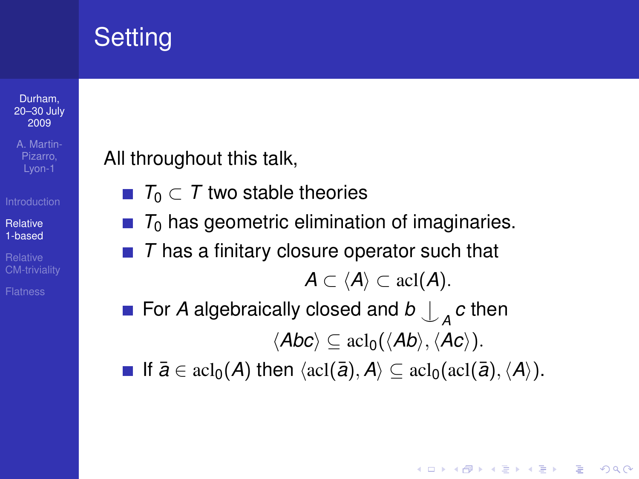#### Durham, [20–30 July](#page-0-0) 2009

A. Martin-Lyon-1

Relative [1-based](#page-7-0)

[CM-triviality](#page-18-0)

All throughout this talk,

- *T*<sup>0</sup> ⊂ *T* two stable theories
- $\blacksquare$   $\tau_0$  has geometric elimination of imaginaries.
- *T* has a finitary closure operator such that  $A \subset \langle A \rangle \subset \operatorname{acl}(A)$ .
- For *A* algebraically closed and  $b \bigcup_{A} c$  then  $\langle Abc \rangle \subset \text{acl}_0(\langle Ab \rangle, \langle Ac \rangle).$

**■** If  $\bar{a} \in \text{acl}_0(A)$  then  $\langle \text{acl}(\bar{a}), A \rangle \subseteq \text{acl}_0(\text{acl}(\bar{a}), \langle A \rangle)$ .

**KOD KARD KED KED BE YOUR**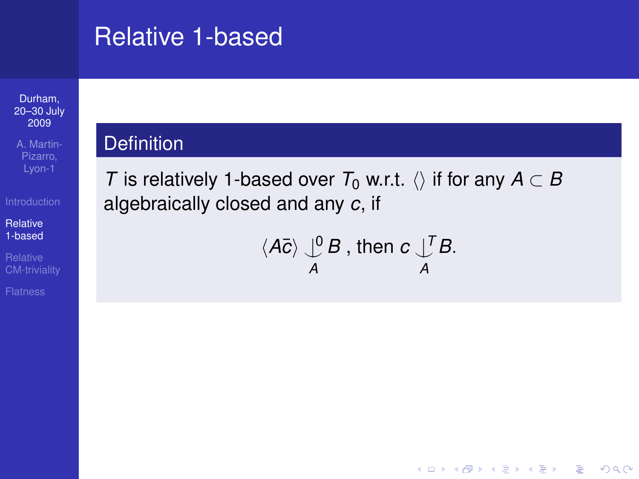## Relative 1-based

#### Durham, [20–30 July](#page-0-0) 2009

A. Martin-Pizarro,

Relative [1-based](#page-7-0)

[CM-triviality](#page-18-0)

### **Definition**

*T* is relatively 1-based over  $T_0$  w.r.t.  $\langle \rangle$  if for any  $A \subset B$ algebraically closed and any *c*, if

$$
\langle A\bar{c}\rangle \bigcup_{A}^{0} B \text{, then } c \bigcup_{A}^{T} B.
$$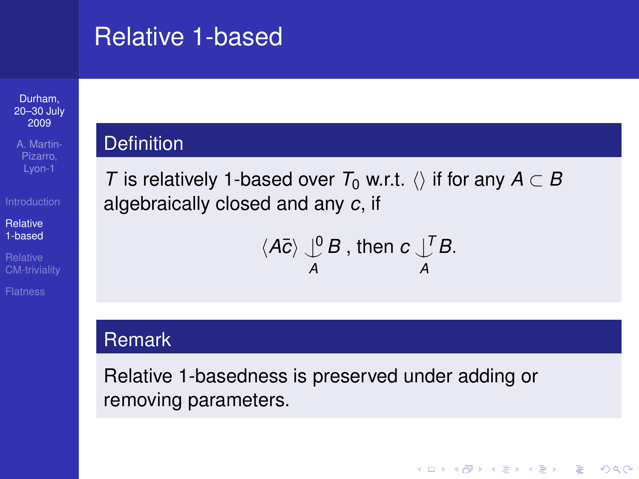## Relative 1-based

#### Durham, [20–30 July](#page-0-0) 2009

A. Martin-Pizarro, Lyon-1

Relative [1-based](#page-7-0)

[CM-triviality](#page-18-0)

### **Definition**

*T* is relatively 1-based over  $T_0$  w.r.t.  $\langle \rangle$  if for any  $A \subset B$ algebraically closed and any *c*, if

$$
\langle A\bar{c}\rangle \bigcup_{A}^{0} B \text{ , then } c \bigcup_{A}^{T} B.
$$

**KOD CONTRACT A BOAR KOD A CO** 

### **Remark**

Relative 1-basedness is preserved under adding or removing parameters.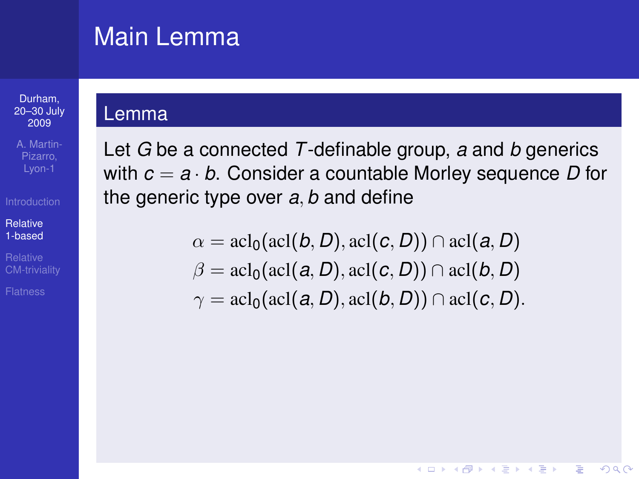## Main Lemma

#### Durham, [20–30 July](#page-0-0) 2009

A. Martin-Lyon-1

#### Relative [1-based](#page-7-0)

[CM-triviality](#page-18-0)

### Lemma

Let *G* be a connected *T*-definable group, *a* and *b* generics with *c* = *a* · *b*. Consider a countable Morley sequence *D* for the generic type over *a*, *b* and define

> $\alpha = \operatorname{acl}_0(\operatorname{acl}(b, D), \operatorname{acl}(c, D)) \cap \operatorname{acl}(a, D)$  $\beta = \text{acl}_0(\text{acl}(a, D), \text{acl}(c, D)) \cap \text{acl}(b, D)$  $\gamma = \text{acl}_0(\text{acl}(a, D), \text{acl}(b, D)) \cap \text{acl}(c, D).$

> > (ロ) (個) (悪) (悪)

÷.

 $2Q$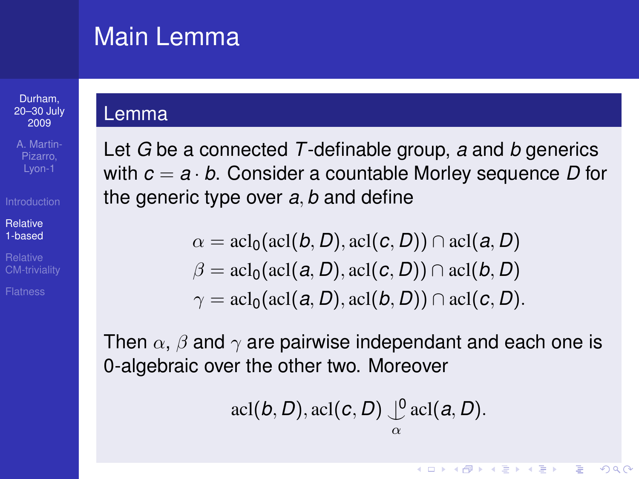## Main Lemma

#### Durham, [20–30 July](#page-0-0) 2009

A. Martin-Lyon-1

Relative [1-based](#page-7-0)

[CM-triviality](#page-18-0)

### Lemma

Let *G* be a connected *T*-definable group, *a* and *b* generics with *c* = *a* · *b*. Consider a countable Morley sequence *D* for the generic type over *a*, *b* and define

$$
\alpha = \operatorname{acl}_0(\operatorname{acl}(b, D), \operatorname{acl}(c, D)) \cap \operatorname{acl}(a, D)
$$
  

$$
\beta = \operatorname{acl}_0(\operatorname{acl}(a, D), \operatorname{acl}(c, D)) \cap \operatorname{acl}(b, D)
$$
  

$$
\gamma = \operatorname{acl}_0(\operatorname{acl}(a, D), \operatorname{acl}(b, D)) \cap \operatorname{acl}(c, D).
$$

Then  $\alpha$ ,  $\beta$  and  $\gamma$  are pairwise independant and each one is 0-algebraic over the other two. Moreover

 $\operatorname{acl}(b, D), \operatorname{acl}(c, D) \cup_{\alpha}^0 \operatorname{acl}(a, D).$ 

◆ ロ ▶ → 何 ▶ → ヨ ▶ → ヨ ▶ │ ヨ │

 $2Q$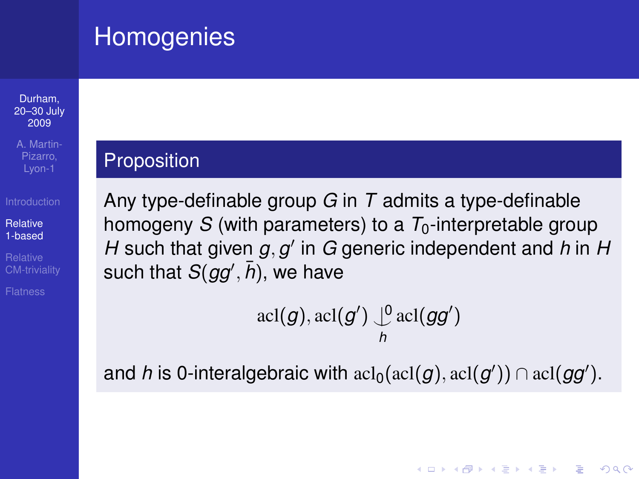## **Homogenies**

#### Durham, [20–30 July](#page-0-0) 2009

A. Martin-Lyon-1

### Relative [1-based](#page-7-0)

### **Proposition**

Any type-definable group *G* in *T* admits a type-definable homogeny *S* (with parameters) to a  $T_0$ -interpretable group *H* such that given  $g, g'$  in  $G$  generic independent and  $h$  in  $H$ such that  $S(gg',\bar{h})$ , we have

$$
\operatorname{acl}(g), \operatorname{acl}(g') \big\downarrow^0 \operatorname{acl}(gg')
$$

and *h* is 0-interalgebraic with  $\text{acl}(g)$  acl $(g')$ )  $\cap$   $\text{acl}(gg').$ 

**KOD KARD KED KED BE YOUR**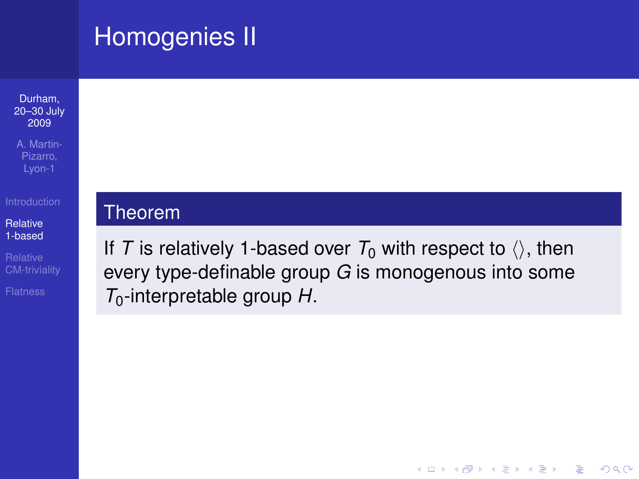## Homogenies II



A. Martin-Pizarro, Lyon-1

Relative [1-based](#page-7-0)

[CM-triviality](#page-18-0)

### Theorem

If *T* is relatively 1-based over  $T_0$  with respect to  $\langle \rangle$ , then every type-definable group *G* is monogenous into some *T*0-interpretable group *H*.

**KOD KOD KED KED E VAN**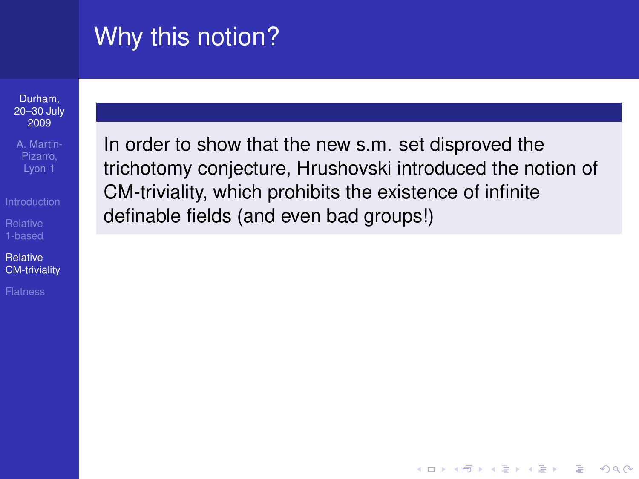# Why this notion?

Durham, [20–30 July](#page-0-0) 2009

A. Martin-Pizarro, Lyon-1

Relative [CM-triviality](#page-18-0)

<span id="page-18-0"></span>

In order to show that the new s.m. set disproved the trichotomy conjecture, Hrushovski introduced the notion of CM-triviality, which prohibits the existence of infinite definable fields (and even bad groups!)

**KOD CONTRACT A BOAR KOD A CO**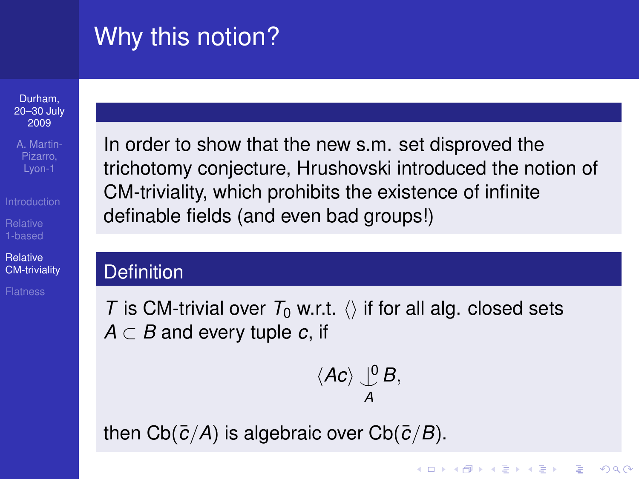# Why this notion?

Durham, [20–30 July](#page-0-0) 2009

A. Martin-Lyon-1

Relative [CM-triviality](#page-18-0)

In order to show that the new s.m. set disproved the trichotomy conjecture, Hrushovski introduced the notion of CM-triviality, which prohibits the existence of infinite definable fields (and even bad groups!)

### **Definition**

*T* is CM-trivial over  $T_0$  w.r.t.  $\langle \rangle$  if for all alg. closed sets

*A* ⊂ *B* and every tuple *c*, if

$$
\langle Ac \rangle \bigcup_A^0 B,
$$

**KOD KARD KED KED BE YOUR** 

then  $Cb(\bar{c}/A)$  is algebraic over  $Cb(\bar{c}/B)$ .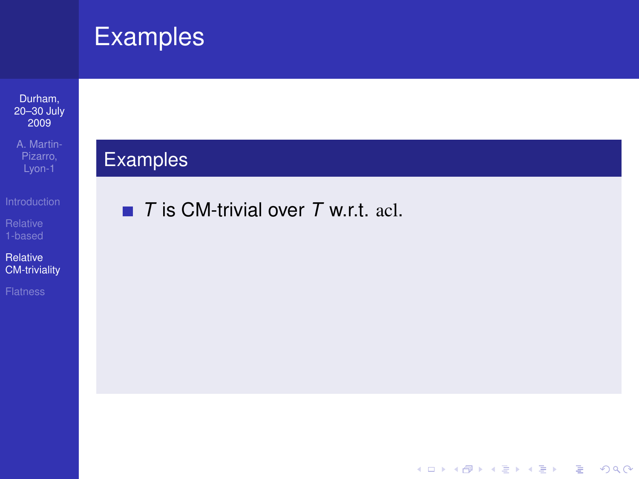#### Durham, [20–30 July](#page-0-0) 2009

A. Martin-Pizarro,

Relative [CM-triviality](#page-18-0)

## Examples

■ *T* is CM-trivial over *T* w.r.t. acl.

K ロ ▶ K 御 ▶ K 聖 ▶ K 聖 ▶ │ 聖 │ 約 9 (9)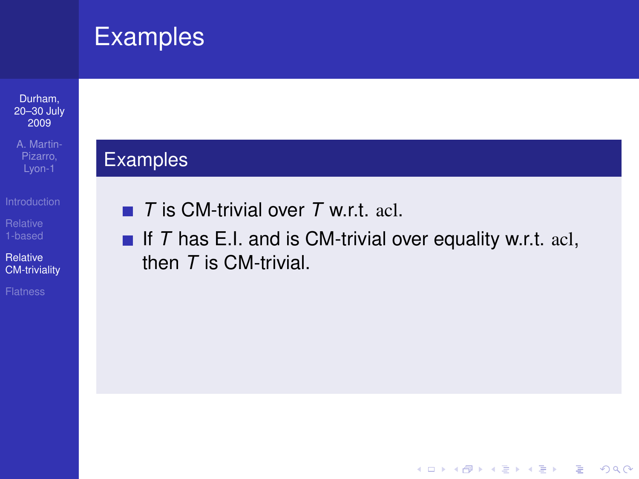#### Durham, [20–30 July](#page-0-0) 2009

A. Martin-Pizarro,

Relative [CM-triviality](#page-18-0)

### Examples

- *T* is CM-trivial over *T* w.r.t. acl.
- If  $T$  has E.I. and is CM-trivial over equality w.r.t. acl, then *T* is CM-trivial.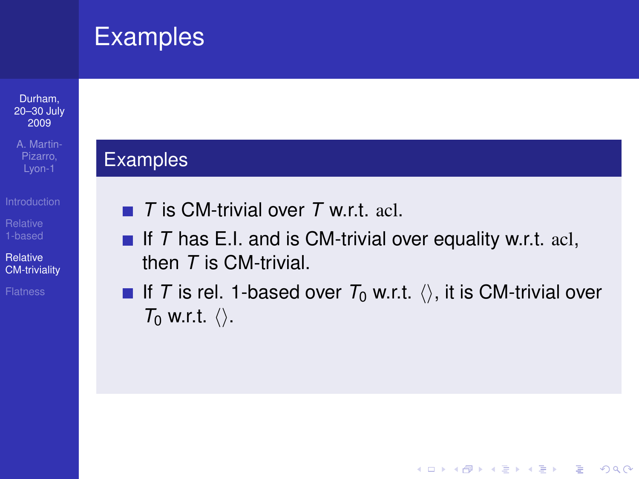#### Durham, [20–30 July](#page-0-0) 2009

A. Martin-Pizarro, Lyon-1

Relative [CM-triviality](#page-18-0)

### Examples

- *T* is CM-trivial over *T* w.r.t. acl.
- If  $T$  has E.I. and is CM-trivial over equality w.r.t. acl, then *T* is CM-trivial.
- If *T* is rel. 1-based over  $T_0$  w.r.t.  $\langle \rangle$ , it is CM-trivial over  $T_0$  w.r.t.  $\langle \rangle$ .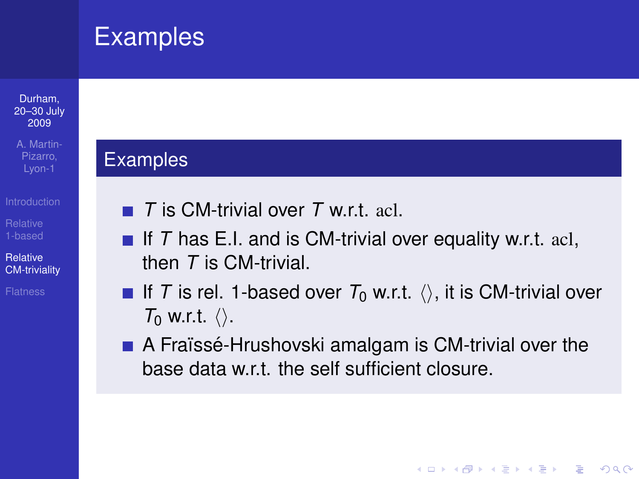#### Durham, [20–30 July](#page-0-0) 2009

A. Martin-Lyon-1

Relative [CM-triviality](#page-18-0)

### Examples

- *T* is CM-trivial over *T* w.r.t. acl.
- If  $T$  has E.I. and is CM-trivial over equality w.r.t. acl, then *T* is CM-trivial.
- If *T* is rel. 1-based over  $T_0$  w.r.t.  $\langle \rangle$ , it is CM-trivial over  $T_0$  w.r.t.  $\langle \rangle$ .
- $\blacksquare$  A Fraïssé-Hrushovski amalgam is CM-trivial over the base data w.r.t. the self sufficient closure.

**KOD KARD KED KED BE YOUR**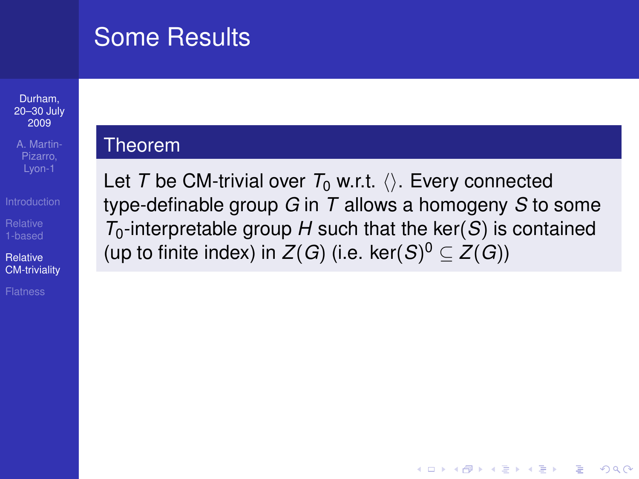## Some Results

#### Durham, [20–30 July](#page-0-0) 2009

A. Martin-Pizarro, Lyon-1

Relative [CM-triviality](#page-18-0)

### Theorem

Let *T* be CM-trivial over  $T_0$  w.r.t.  $\langle \rangle$ . Every connected type-definable group *G* in *T* allows a homogeny *S* to some  $T_0$ -interpretable group *H* such that the ker(*S*) is contained (up to finite index) in  $Z(G)$  (i.e. ker $(S)^{0} \subseteq Z(G)$ )

**KOD CONTRACT A BOAR KOD A CO**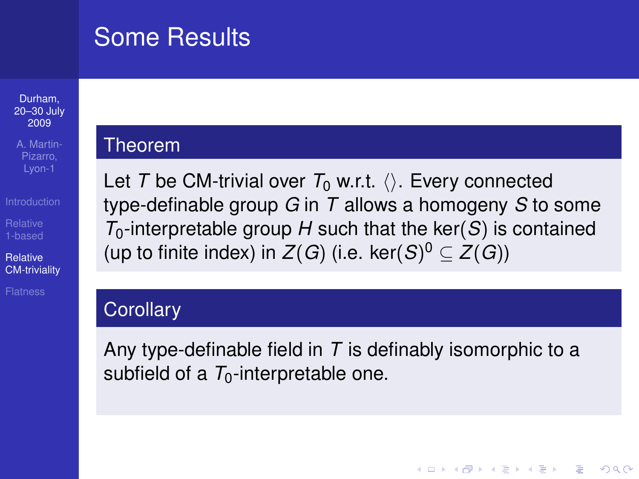## Some Results

#### Durham, [20–30 July](#page-0-0) 2009

A. Martin-Lyon-1

Relative [CM-triviality](#page-18-0)

### Theorem

Let *T* be CM-trivial over  $T_0$  w.r.t.  $\langle \rangle$ . Every connected type-definable group *G* in *T* allows a homogeny *S* to some  $T_0$ -interpretable group *H* such that the ker(*S*) is contained (up to finite index) in  $Z(G)$  (i.e. ker $(S)^{0} \subseteq Z(G)$ )

### **Corollary**

Any type-definable field in *T* is definably isomorphic to a subfield of a  $T_0$ -interpretable one.

**KORK ERKER ADAM ADA**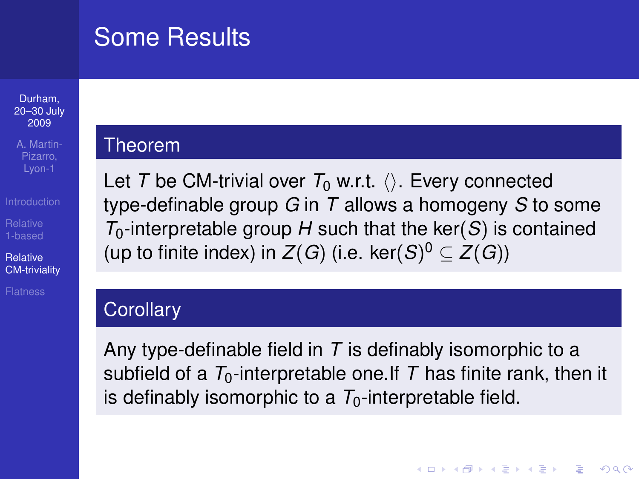## Some Results

#### Durham, [20–30 July](#page-0-0) 2009

A. Martin-Lyon-1

Relative [CM-triviality](#page-18-0)

### Theorem

Let *T* be CM-trivial over  $T_0$  w.r.t.  $\langle \rangle$ . Every connected type-definable group *G* in *T* allows a homogeny *S* to some  $T_0$ -interpretable group *H* such that the ker(*S*) is contained (up to finite index) in  $Z(G)$  (i.e. ker $(S)^{0} \subseteq Z(G)$ )

### **Corollary**

Any type-definable field in *T* is definably isomorphic to a subfield of a  $T_0$ -interpretable one. If T has finite rank, then it is definably isomorphic to a  $T_0$ -interpretable field.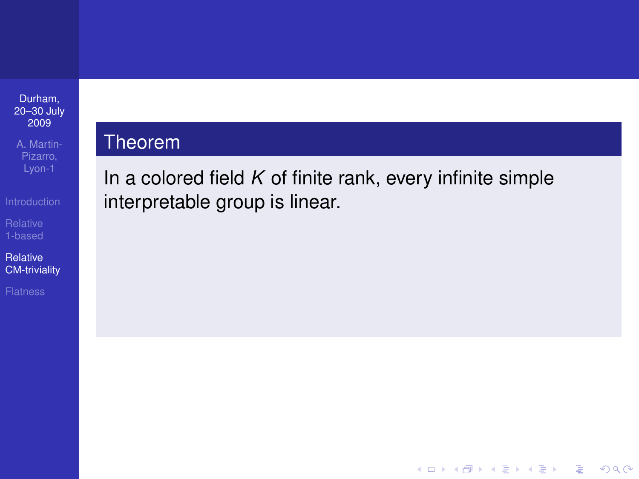A. Martin-Pizarro,

Relative [CM-triviality](#page-18-0)

### **Theorem**

In a colored field *K* of finite rank, every infinite simple interpretable group is linear.

K ロ ▶ K @ ▶ K 할 ▶ K 할 ▶ 이 할 → 9 Q Q →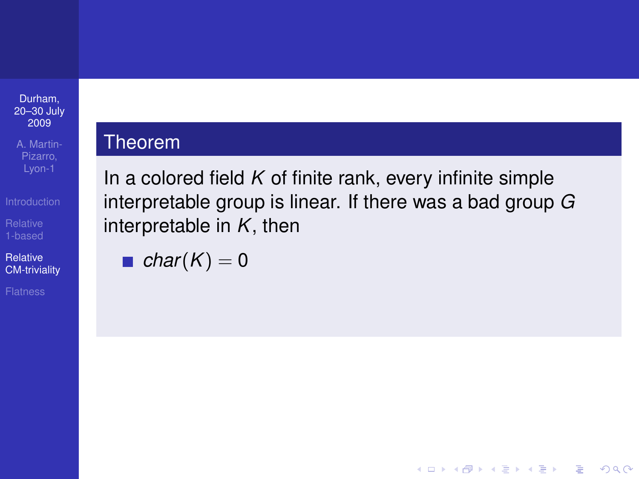A. Martin-

Relative [CM-triviality](#page-18-0)

### Theorem

In a colored field *K* of finite rank, every infinite simple interpretable group is linear. If there was a bad group *G* interpretable in *K*, then

• char
$$
(K) = 0
$$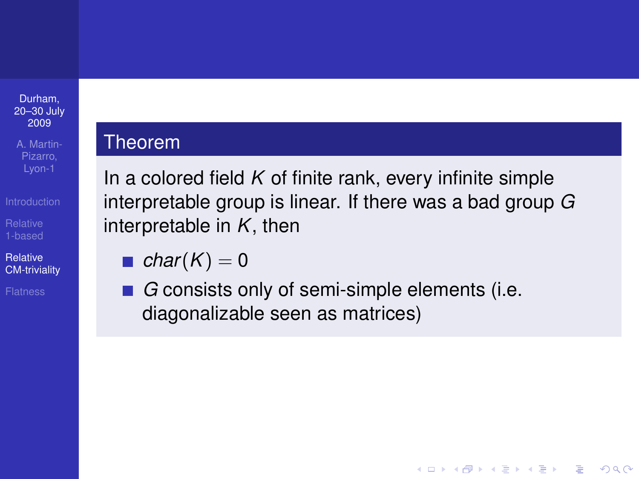A. Martin-Pizarro, Lyon-1

Relative [CM-triviality](#page-18-0)

### Theorem

In a colored field *K* of finite rank, every infinite simple interpretable group is linear. If there was a bad group *G* interpretable in *K*, then

• char
$$
(K) = 0
$$

■ *G* consists only of semi-simple elements (i.e. diagonalizable seen as matrices)

K ロ ▶ K @ ▶ K 할 ▶ K 할 ▶ 이 할 → 9 Q Q →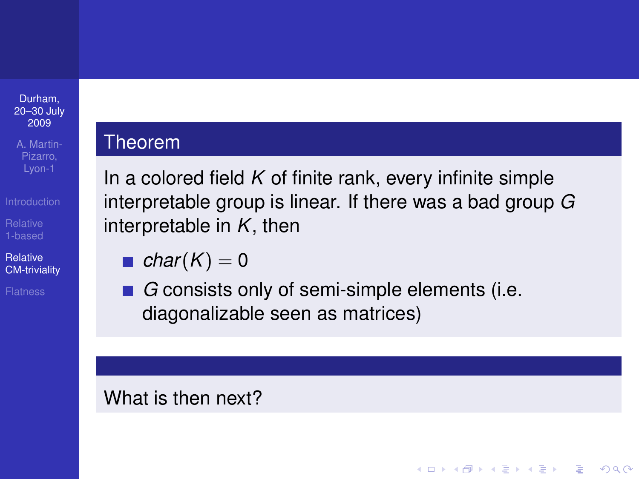A. Martin-Lyon-1

Relative [CM-triviality](#page-18-0)

### Theorem

In a colored field *K* of finite rank, every infinite simple interpretable group is linear. If there was a bad group *G* interpretable in *K*, then

• char
$$
(K) = 0
$$

■ *G* consists only of semi-simple elements (i.e. diagonalizable seen as matrices)

**KOD CONTRACT A BOAR KOD A CO** 

What is then next?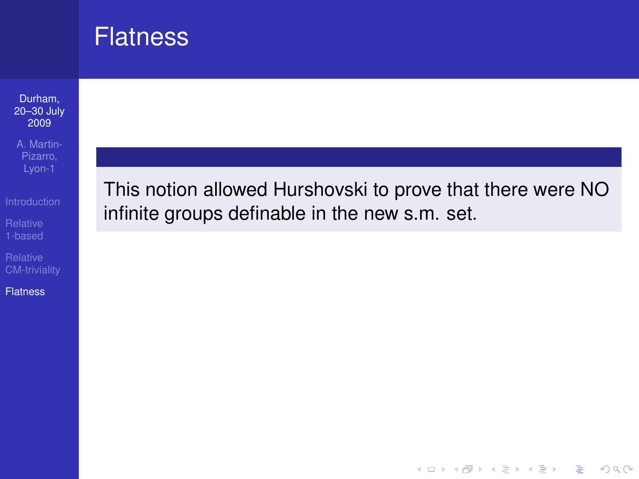## **Flatness**

#### Durham, [20–30 July](#page-0-0) 2009

A. Martin-Pizarro,

[CM-triviality](#page-18-0)

<span id="page-31-0"></span>**[Flatness](#page-31-0)** 

This notion allowed Hurshovski to prove that there were NO infinite groups definable in the new s.m. set.

K ロ > K 個 > K 差 > K 差 > → 差 → の Q Q →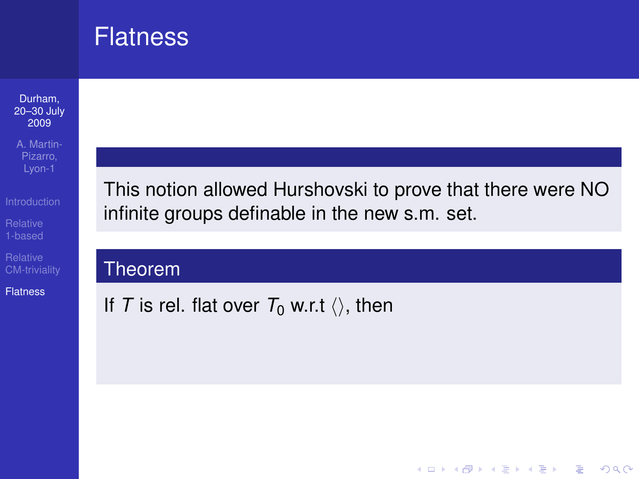## **Flatness**

#### Durham, [20–30 July](#page-0-0) 2009

A. Martin-Pizarro,

[CM-triviality](#page-18-0)

**[Flatness](#page-31-0)** 

This notion allowed Hurshovski to prove that there were NO infinite groups definable in the new s.m. set.

### Theorem

If *T* is rel. flat over  $T_0$  w.r.t  $\langle \rangle$ , then